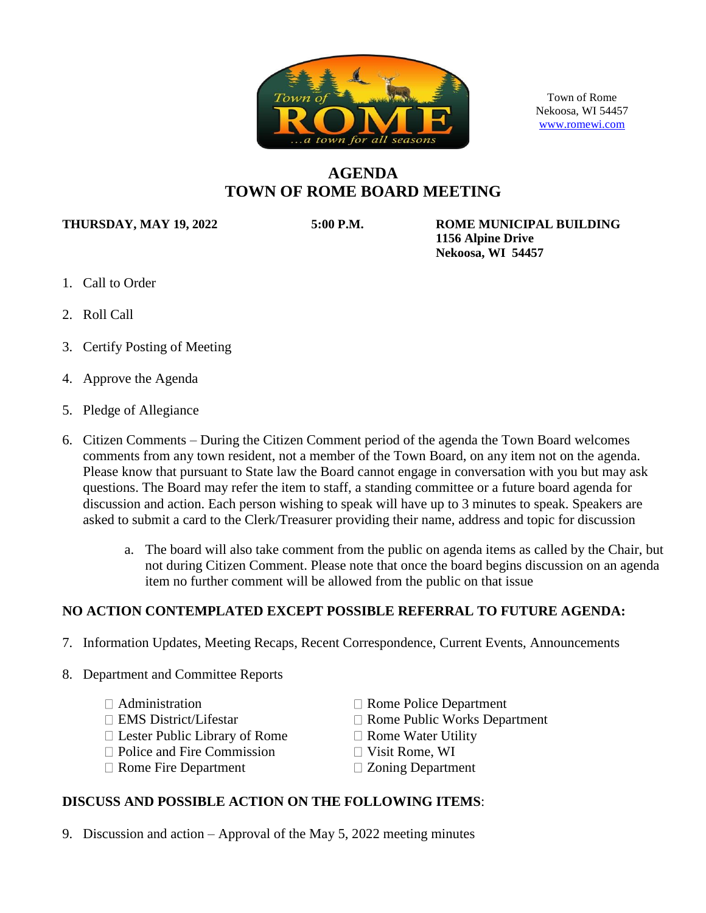

Town of Rome Nekoosa, WI 54457 [www.romewi.com](http://www.romewi.com/)

# **AGENDA TOWN OF ROME BOARD MEETING**

**THURSDAY, MAY 19, 2022 5:00 P.M. ROME MUNICIPAL BUILDING 1156 Alpine Drive Nekoosa, WI 54457**

- 1. Call to Order
- 2. Roll Call
- 3. Certify Posting of Meeting
- 4. Approve the Agenda
- 5. Pledge of Allegiance
- 6. Citizen Comments During the Citizen Comment period of the agenda the Town Board welcomes comments from any town resident, not a member of the Town Board, on any item not on the agenda. Please know that pursuant to State law the Board cannot engage in conversation with you but may ask questions. The Board may refer the item to staff, a standing committee or a future board agenda for discussion and action. Each person wishing to speak will have up to 3 minutes to speak. Speakers are asked to submit a card to the Clerk/Treasurer providing their name, address and topic for discussion
	- a. The board will also take comment from the public on agenda items as called by the Chair, but not during Citizen Comment. Please note that once the board begins discussion on an agenda item no further comment will be allowed from the public on that issue

### **NO ACTION CONTEMPLATED EXCEPT POSSIBLE REFERRAL TO FUTURE AGENDA:**

- 7. Information Updates, Meeting Recaps, Recent Correspondence, Current Events, Announcements
- 8. Department and Committee Reports
	-
	-
	- $\Box$  Lester Public Library of Rome  $\Box$  Rome Water Utility
	- $\Box$  Police and Fire Commission  $\Box$  Visit Rome, WI
	- $\Box$  Rome Fire Department  $\Box$  Zoning Department
	- $\Box$  Administration  $\Box$  Rome Police Department
	- $\Box$  EMS District/Lifestar  $\Box$  Rome Public Works Department
		-
		-
		-

#### **DISCUSS AND POSSIBLE ACTION ON THE FOLLOWING ITEMS**:

9. Discussion and action – Approval of the May 5, 2022 meeting minutes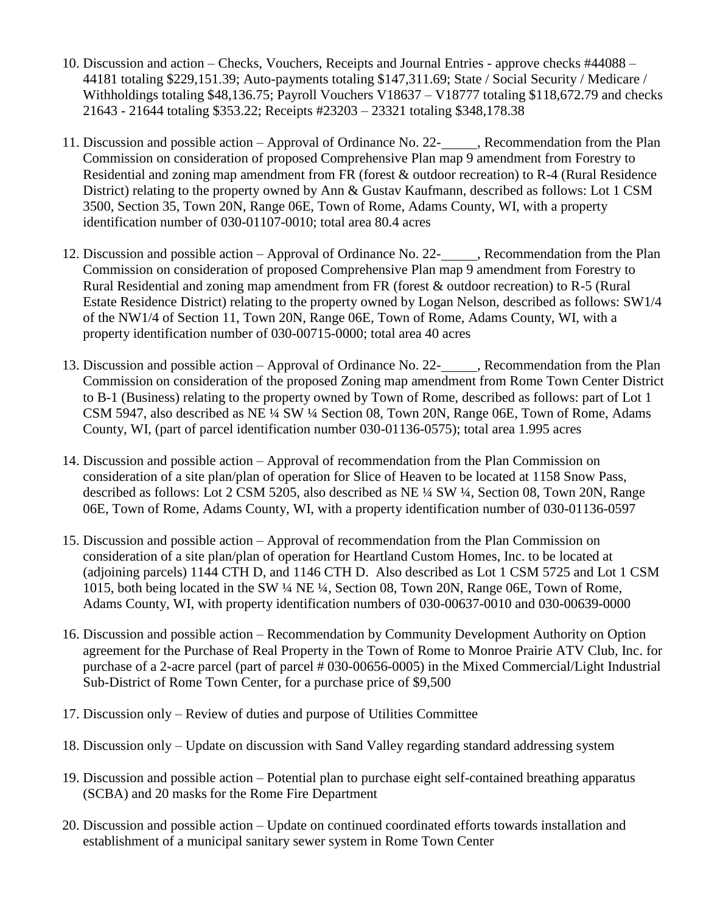- 10. Discussion and action Checks, Vouchers, Receipts and Journal Entries approve checks #44088 44181 totaling \$229,151.39; Auto-payments totaling \$147,311.69; State / Social Security / Medicare / Withholdings totaling \$48,136.75; Payroll Vouchers V18637 – V18777 totaling \$118,672.79 and checks 21643 - 21644 totaling \$353.22; Receipts #23203 – 23321 totaling \$348,178.38
- 11. Discussion and possible action Approval of Ordinance No. 22-<br>Recommendation from the Plan Commission on consideration of proposed Comprehensive Plan map 9 amendment from Forestry to Residential and zoning map amendment from FR (forest & outdoor recreation) to R-4 (Rural Residence District) relating to the property owned by Ann & Gustav Kaufmann, described as follows: Lot 1 CSM 3500, Section 35, Town 20N, Range 06E, Town of Rome, Adams County, WI, with a property identification number of 030-01107-0010; total area 80.4 acres
- 12. Discussion and possible action Approval of Ordinance No. 22- , Recommendation from the Plan Commission on consideration of proposed Comprehensive Plan map 9 amendment from Forestry to Rural Residential and zoning map amendment from FR (forest & outdoor recreation) to R-5 (Rural Estate Residence District) relating to the property owned by Logan Nelson, described as follows: SW1/4 of the NW1/4 of Section 11, Town 20N, Range 06E, Town of Rome, Adams County, WI, with a property identification number of 030-00715-0000; total area 40 acres
- 13. Discussion and possible action Approval of Ordinance No. 22-<br>Recommendation from the Plan Commission on consideration of the proposed Zoning map amendment from Rome Town Center District to B-1 (Business) relating to the property owned by Town of Rome, described as follows: part of Lot 1 CSM 5947, also described as NE ¼ SW ¼ Section 08, Town 20N, Range 06E, Town of Rome, Adams County, WI, (part of parcel identification number 030-01136-0575); total area 1.995 acres
- 14. Discussion and possible action Approval of recommendation from the Plan Commission on consideration of a site plan/plan of operation for Slice of Heaven to be located at 1158 Snow Pass, described as follows: Lot 2 CSM 5205, also described as NE ¼ SW ¼, Section 08, Town 20N, Range 06E, Town of Rome, Adams County, WI, with a property identification number of 030-01136-0597
- 15. Discussion and possible action Approval of recommendation from the Plan Commission on consideration of a site plan/plan of operation for Heartland Custom Homes, Inc. to be located at (adjoining parcels) 1144 CTH D, and 1146 CTH D. Also described as Lot 1 CSM 5725 and Lot 1 CSM 1015, both being located in the SW ¼ NE ¼, Section 08, Town 20N, Range 06E, Town of Rome, Adams County, WI, with property identification numbers of 030-00637-0010 and 030-00639-0000
- 16. Discussion and possible action Recommendation by Community Development Authority on Option agreement for the Purchase of Real Property in the Town of Rome to Monroe Prairie ATV Club, Inc. for purchase of a 2-acre parcel (part of parcel # 030-00656-0005) in the Mixed Commercial/Light Industrial Sub-District of Rome Town Center, for a purchase price of \$9,500
- 17. Discussion only Review of duties and purpose of Utilities Committee
- 18. Discussion only Update on discussion with Sand Valley regarding standard addressing system
- 19. Discussion and possible action Potential plan to purchase eight self-contained breathing apparatus (SCBA) and 20 masks for the Rome Fire Department
- 20. Discussion and possible action Update on continued coordinated efforts towards installation and establishment of a municipal sanitary sewer system in Rome Town Center